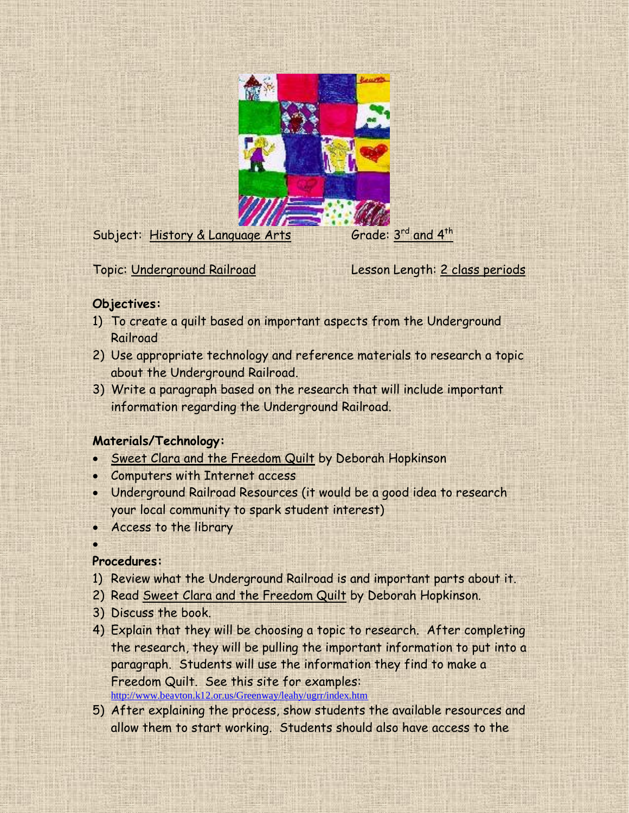

Subject: History & Language Arts

Grade:  $3^{\text{rd}}$  and  $4^{\text{th}}$ 

Topic: Underground Railroad Lesson Length: 2 class periods

## **Objectives:**

- 1) To create a quilt based on important aspects from the Underground Railroad
- 2) Use appropriate technology and reference materials to research a topic about the Underground Railroad.
- 3) Write a paragraph based on the research that will include important information regarding the Underground Railroad.

# **Materials/Technology:**

- Sweet Clara and the Freedom Quilt by Deborah Hopkinson
- Computers with Internet access
- Underground Railroad Resources (it would be a good idea to research your local community to spark student interest)
- Access to the library

 $\bullet$ 

# **Procedures:**

- 1) Review what the Underground Railroad is and important parts about it.
- 2) Read Sweet Clara and the Freedom Quilt by Deborah Hopkinson.
- 3) Discuss the book.
- 4) Explain that they will be choosing a topic to research. After completing the research, they will be pulling the important information to put into a paragraph. Students will use the information they find to make a Freedom Quilt. See this site for examples: <http://www.beavton.k12.or.us/Greenway/leahy/ugrr/index.htm>
- 5) After explaining the process, show students the available resources and allow them to start working. Students should also have access to the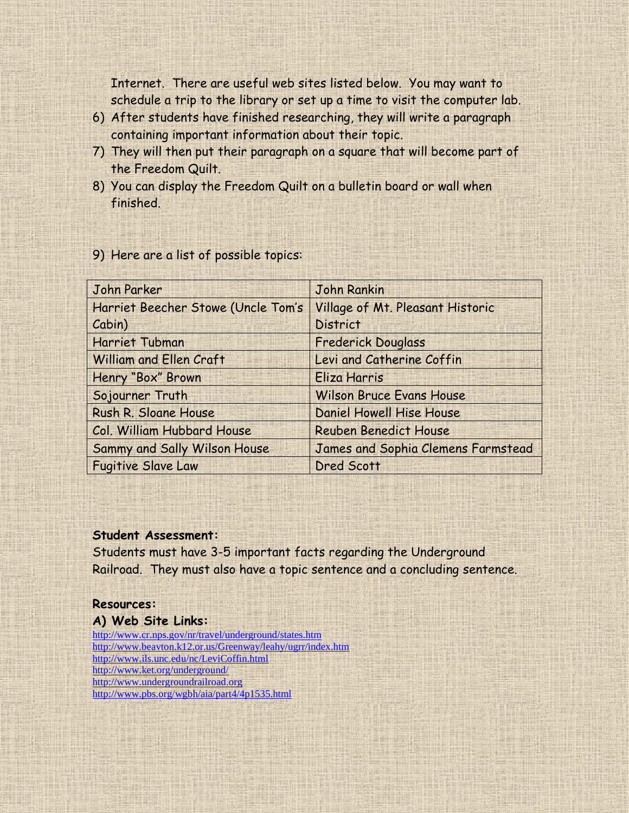Internet. There are useful web sites listed below. You may want to schedule a trip to the library or set up a time to visit the computer lab.

- 6) After students have finished researching, they will write a paragraph containing important information about their topic.
- 7) They will then put their paragraph on a square that will become part of the Freedom Quilt.
- 8) You can display the Freedom Quilt on a bulletin board or wall when finished.

| John Parker                        | <b>John Rankin</b>                 |
|------------------------------------|------------------------------------|
| Harriet Beecher Stowe (Uncle Tom's | Village of Mt. Pleasant Historic   |
| Cabin)                             | <b>District</b>                    |
| <b>Harriet Tubman</b>              | <b>Frederick Douglass</b>          |
| <b>William and Ellen Craft</b>     | Levi and Catherine Coffin          |
| Henry "Box" Brown                  | Eliza Harris                       |
| Sojourner Truth                    | <b>Wilson Bruce Evans House</b>    |
| Rush R. Sloane House               | Daniel Howell Hise House           |
| Col. William Hubbard House         | <b>Reuben Benedict House</b>       |
| Sammy and Sally Wilson House       | James and Sophia Clemens Farmstead |
| <b>Fugitive Slave Law</b>          | Dred Scott                         |

### 9) Here are a list of possible topics:

#### **Student Assessment:**

Students must have 3-5 important facts regarding the Underground Railroad. They must also have a topic sentence and a concluding sentence.

## **Resources:**

### **A) Web Site Links:**

<http://www.cr.nps.gov/nr/travel/underground/states.htm> <http://www.beavton.k12.or.us/Greenway/leahy/ugrr/index.htm> <http://www.ils.unc.edu/nc/LeviCoffin.html> <http://www.ket.org/underground/> [http://www.undergroundrailroad.org](http://www.undergroundrailroad.org/) <http://www.pbs.org/wgbh/aia/part4/4p1535.html>